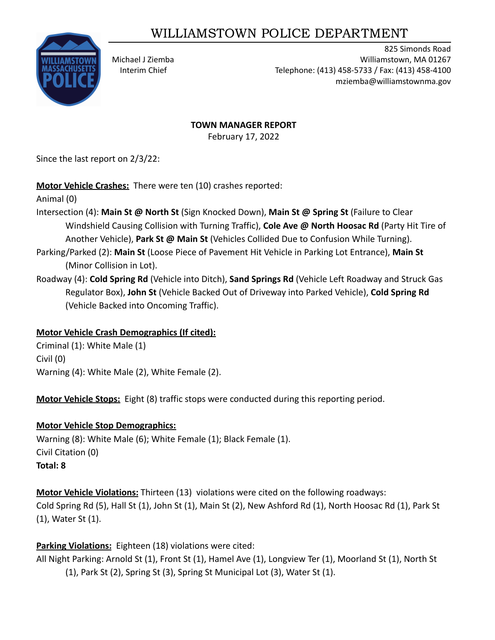# WILLIAMSTOWN POLICE DEPARTMENT



825 Simonds Road Michael J Ziemba Williamstown, MA 01267 Interim Chief Telephone: (413) 458-5733 / Fax: (413) 458-4100 mziemba@williamstownma.gov

#### **TOWN MANAGER REPORT**

February 17, 2022

Since the last report on 2/3/22:

**Motor Vehicle Crashes:** There were ten (10) crashes reported:

Animal (0)

- Intersection (4): **Main St @ North St** (Sign Knocked Down), **Main St @ Spring St** (Failure to Clear Windshield Causing Collision with Turning Traffic), **Cole Ave @ North Hoosac Rd** (Party Hit Tire of Another Vehicle), **Park St @ Main St** (Vehicles Collided Due to Confusion While Turning).
- Parking/Parked (2): **Main St** (Loose Piece of Pavement Hit Vehicle in Parking Lot Entrance), **Main St** (Minor Collision in Lot).
- Roadway (4): **Cold Spring Rd** (Vehicle into Ditch), **Sand Springs Rd** (Vehicle Left Roadway and Struck Gas Regulator Box), **John St** (Vehicle Backed Out of Driveway into Parked Vehicle), **Cold Spring Rd** (Vehicle Backed into Oncoming Traffic).

### **Motor Vehicle Crash Demographics (If cited):**

Criminal (1): White Male (1) Civil (0) Warning (4): White Male (2), White Female (2).

**Motor Vehicle Stops:** Eight (8) traffic stops were conducted during this reporting period.

# **Motor Vehicle Stop Demographics:**

Warning (8): White Male (6); White Female (1); Black Female (1). Civil Citation (0) **Total: 8**

**Motor Vehicle Violations:** Thirteen (13) violations were cited on the following roadways: Cold Spring Rd (5), Hall St (1), John St (1), Main St (2), New Ashford Rd (1), North Hoosac Rd (1), Park St (1), Water St (1).

**Parking Violations:** Eighteen (18) violations were cited:

All Night Parking: Arnold St (1), Front St (1), Hamel Ave (1), Longview Ter (1), Moorland St (1), North St (1), Park St (2), Spring St (3), Spring St Municipal Lot (3), Water St (1).